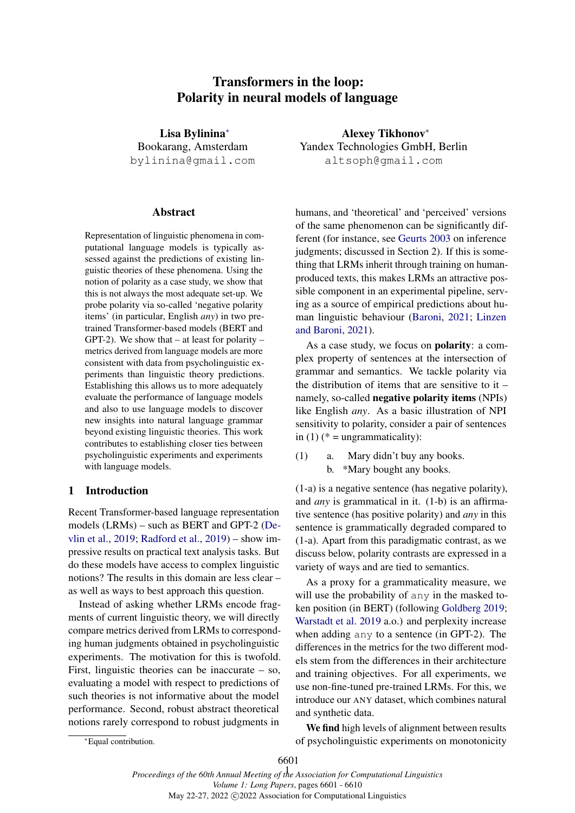# Transformers in the loop: Polarity in neural models of language

<span id="page-0-0"></span>Lisa Bylinina[∗](#page-0-0) Bookarang, Amsterdam bylinina@gmail.com

# Abstract

Representation of linguistic phenomena in computational language models is typically assessed against the predictions of existing linguistic theories of these phenomena. Using the notion of polarity as a case study, we show that this is not always the most adequate set-up. We probe polarity via so-called 'negative polarity items' (in particular, English *any*) in two pretrained Transformer-based models (BERT and GPT-2). We show that  $-$  at least for polarity  $$ metrics derived from language models are more consistent with data from psycholinguistic experiments than linguistic theory predictions. Establishing this allows us to more adequately evaluate the performance of language models and also to use language models to discover new insights into natural language grammar beyond existing linguistic theories. This work contributes to establishing closer ties between psycholinguistic experiments and experiments with language models.

## 1 Introduction

Recent Transformer-based language representation models (LRMs) – such as BERT and GPT-2 [\(De](#page-8-0)[vlin et al.,](#page-8-0) [2019;](#page-8-0) [Radford et al.,](#page-9-0) [2019\)](#page-9-0) – show impressive results on practical text analysis tasks. But do these models have access to complex linguistic notions? The results in this domain are less clear – as well as ways to best approach this question.

Instead of asking whether LRMs encode fragments of current linguistic theory, we will directly compare metrics derived from LRMs to corresponding human judgments obtained in psycholinguistic experiments. The motivation for this is twofold. First, linguistic theories can be inaccurate – so, evaluating a model with respect to predictions of such theories is not informative about the model performance. Second, robust abstract theoretical notions rarely correspond to robust judgments in

<sup>∗</sup>Equal contribution.

Alexey Tikhonov<sup>∗</sup> Yandex Technologies GmbH, Berlin altsoph@gmail.com

humans, and 'theoretical' and 'perceived' versions of the same phenomenon can be significantly different (for instance, see [Geurts](#page-8-1) [2003](#page-8-1) on inference judgments; discussed in Section 2). If this is something that LRMs inherit through training on humanproduced texts, this makes LRMs an attractive possible component in an experimental pipeline, serving as a source of empirical predictions about human linguistic behaviour [\(Baroni,](#page-8-2) [2021;](#page-8-2) [Linzen](#page-8-3) [and Baroni,](#page-8-3) [2021\)](#page-8-3).

As a case study, we focus on polarity: a complex property of sentences at the intersection of grammar and semantics. We tackle polarity via the distribution of items that are sensitive to it  $$ namely, so-called negative polarity items (NPIs) like English *any*. As a basic illustration of NPI sensitivity to polarity, consider a pair of sentences in (1) ( $* =$  ungrammaticality):

(1) a. Mary didn't buy any books. b. \*Mary bought any books.

(1-a) is a negative sentence (has negative polarity), and *any* is grammatical in it. (1-b) is an affirmative sentence (has positive polarity) and *any* in this sentence is grammatically degraded compared to (1-a). Apart from this paradigmatic contrast, as we discuss below, polarity contrasts are expressed in a variety of ways and are tied to semantics.

As a proxy for a grammaticality measure, we will use the probability of any in the masked token position (in BERT) (following [Goldberg](#page-8-4) [2019;](#page-8-4) [Warstadt et al.](#page-9-1) [2019](#page-9-1) a.o.) and perplexity increase when adding any to a sentence (in GPT-2). The differences in the metrics for the two different models stem from the differences in their architecture and training objectives. For all experiments, we use non-fine-tuned pre-trained LRMs. For this, we introduce our ANY dataset, which combines natural and synthetic data.

We find high levels of alignment between results of psycholinguistic experiments on monotonicity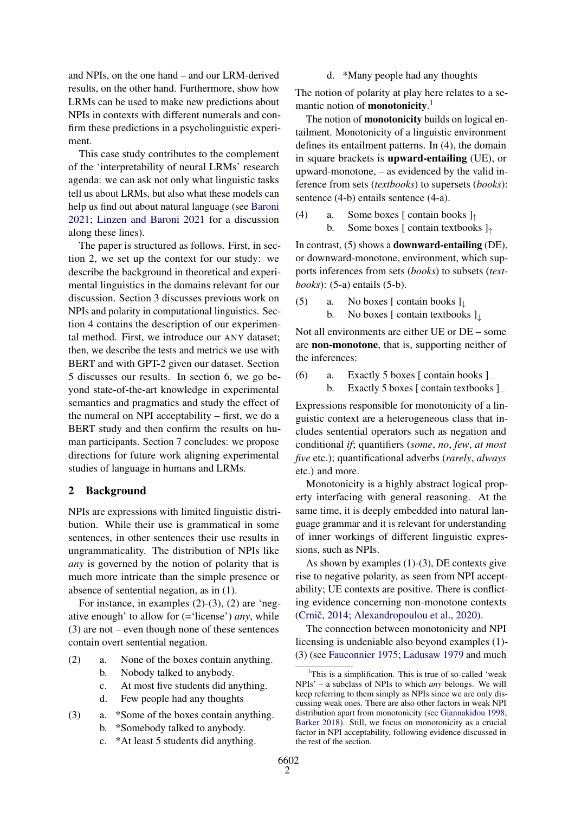and NPIs, on the one hand – and our LRM-derived results, on the other hand. Furthermore, show how LRMs can be used to make new predictions about NPIs in contexts with different numerals and confirm these predictions in a psycholinguistic experiment.

This case study contributes to the complement of the 'interpretability of neural LRMs' research agenda: we can ask not only what linguistic tasks tell us about LRMs, but also what these models can help us find out about natural language (see [Baroni](#page-8-2) [2021;](#page-8-2) [Linzen and Baroni](#page-8-3) [2021](#page-8-3) for a discussion along these lines).

The paper is structured as follows. First, in section 2, we set up the context for our study: we describe the background in theoretical and experimental linguistics in the domains relevant for our discussion. Section 3 discusses previous work on NPIs and polarity in computational linguistics. Section 4 contains the description of our experimental method. First, we introduce our ANY dataset; then, we describe the tests and metrics we use with BERT and with GPT-2 given our dataset. Section 5 discusses our results. In section 6, we go beyond state-of-the-art knowledge in experimental semantics and pragmatics and study the effect of the numeral on NPI acceptability – first, we do a BERT study and then confirm the results on human participants. Section 7 concludes: we propose directions for future work aligning experimental studies of language in humans and LRMs.

# 2 Background

NPIs are expressions with limited linguistic distribution. While their use is grammatical in some sentences, in other sentences their use results in ungrammaticality. The distribution of NPIs like *any* is governed by the notion of polarity that is much more intricate than the simple presence or absence of sentential negation, as in (1).

For instance, in examples (2)-(3), (2) are 'negative enough' to allow for (='license') *any*, while (3) are not – even though none of these sentences contain overt sentential negation.

- (2) a. None of the boxes contain anything.
	- b. Nobody talked to anybody.
	- c. At most five students did anything.
	- d. Few people had any thoughts
- (3) a. \*Some of the boxes contain anything. b. \*Somebody talked to anybody.
	- c. \*At least 5 students did anything.

d. \*Many people had any thoughts

The notion of polarity at play here relates to a semantic notion of **monotonicity**.<sup>[1](#page-1-0)</sup>

The notion of **monotonicity** builds on logical entailment. Monotonicity of a linguistic environment defines its entailment patterns. In (4), the domain in square brackets is upward-entailing (UE), or upward-monotone, – as evidenced by the valid inference from sets (*textbooks*) to supersets (*books*): sentence (4-b) entails sentence (4-a).

(4) a. Some boxes [ contain books  $]_$ \uparrow} b. Some boxes [ contain textbooks ]<sup>↑</sup>

In contrast, (5) shows a downward-entailing (DE), or downward-monotone, environment, which supports inferences from sets (*books*) to subsets (*textbooks*): (5-a) entails (5-b).

(5) a. No boxes [ contain books  $]_{\downarrow}$ b. No boxes [ contain textbooks ] |

Not all environments are either UE or DE – some are non-monotone, that is, supporting neither of the inferences:

(6) a. Exactly 5 boxes [ contain books ]<sup>−</sup> b. Exactly 5 boxes [ contain textbooks ]<sup>−</sup>

Expressions responsible for monotonicity of a linguistic context are a heterogeneous class that includes sentential operators such as negation and conditional *if*; quantifiers (*some*, *no*, *few*, *at most five* etc.); quantificational adverbs (*rarely*, *always* etc.) and more.

Monotonicity is a highly abstract logical property interfacing with general reasoning. At the same time, it is deeply embedded into natural language grammar and it is relevant for understanding of inner workings of different linguistic expressions, such as NPIs.

As shown by examples (1)-(3), DE contexts give rise to negative polarity, as seen from NPI acceptability; UE contexts are positive. There is conflicting evidence concerning non-monotone contexts (Crnič, [2014;](#page-8-5) [Alexandropoulou et al.,](#page-8-6) [2020\)](#page-8-6).

The connection between monotonicity and NPI licensing is undeniable also beyond examples (1)- (3) (see [Fauconnier](#page-8-7) [1975;](#page-8-7) [Ladusaw](#page-8-8) [1979](#page-8-8) and much

<span id="page-1-0"></span><sup>&</sup>lt;sup>1</sup>This is a simplification. This is true of so-called 'weak NPIs' – a subclass of NPIs to which *any* belongs. We will keep referring to them simply as NPIs since we are only discussing weak ones. There are also other factors in weak NPI distribution apart from monotonicity (see [Giannakidou](#page-8-9) [1998;](#page-8-9) [Barker](#page-8-10) [2018\)](#page-8-10). Still, we focus on monotonicity as a crucial factor in NPI acceptability, following evidence discussed in the rest of the section.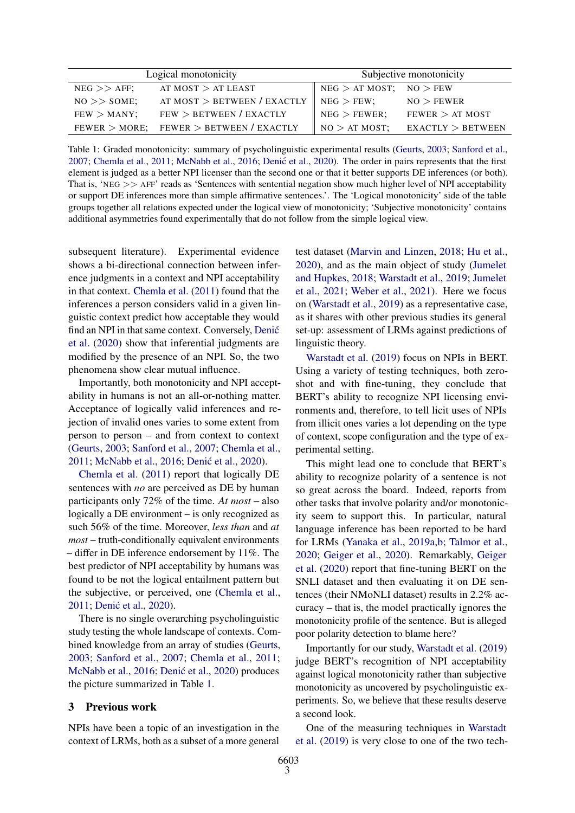<span id="page-2-0"></span>

|                    | Logical monotonicity          | Subjective monotonicity     |                   |  |  |  |  |  |  |  |
|--------------------|-------------------------------|-----------------------------|-------------------|--|--|--|--|--|--|--|
| $NEG$ $>>$ $AFF$ ; | AT MOST $>$ AT LEAST          | $NEG$ > AT MOST; NO > FEW   |                   |  |  |  |  |  |  |  |
| $NO \gg$ SOME;     | AT MOST $>$ BETWEEN / EXACTLY | $NEG$ > FEW:                | NO > FEWER        |  |  |  |  |  |  |  |
| $FEW >$ MANY;      | FEW > BETWEEN / EXACTLY       | $NEG$ > FEWER;              | FEWER > AT MOST   |  |  |  |  |  |  |  |
| $FEWER > MORE$ :   | $FEWER$ $>$ BETWEEN / EXACTLY | $\parallel$ NO $>$ AT MOST; | EXACTLY > BETWEEN |  |  |  |  |  |  |  |

Table 1: Graded monotonicity: summary of psycholinguistic experimental results [\(Geurts,](#page-8-1) [2003;](#page-8-1) [Sanford et al.,](#page-9-2) [2007;](#page-9-2) [Chemla et al.,](#page-8-11) [2011;](#page-8-11) [McNabb et al.,](#page-9-3) [2016;](#page-9-3) [Denic et al.](#page-8-12), [2020\)](#page-8-12). The order in pairs represents that the first element is judged as a better NPI licenser than the second one or that it better supports DE inferences (or both). That is, 'NEG >> AFF' reads as 'Sentences with sentential negation show much higher level of NPI acceptability or support DE inferences more than simple affirmative sentences.'. The 'Logical monotonicity' side of the table groups together all relations expected under the logical view of monotonicity; 'Subjective monotonicity' contains additional asymmetries found experimentally that do not follow from the simple logical view.

subsequent literature). Experimental evidence shows a bi-directional connection between inference judgments in a context and NPI acceptability in that context. [Chemla et al.](#page-8-11) [\(2011\)](#page-8-11) found that the inferences a person considers valid in a given linguistic context predict how acceptable they would find an NPI in that same context. Conversely, [Denic´](#page-8-12) [et al.](#page-8-12) [\(2020\)](#page-8-12) show that inferential judgments are modified by the presence of an NPI. So, the two phenomena show clear mutual influence.

Importantly, both monotonicity and NPI acceptability in humans is not an all-or-nothing matter. Acceptance of logically valid inferences and rejection of invalid ones varies to some extent from person to person – and from context to context [\(Geurts,](#page-8-1) [2003;](#page-8-1) [Sanford et al.,](#page-9-2) [2007;](#page-9-2) [Chemla et al.,](#page-8-11) [2011;](#page-8-11) [McNabb et al.,](#page-9-3) [2016;](#page-9-3) Denić et al., [2020\)](#page-8-12).

[Chemla et al.](#page-8-11) [\(2011\)](#page-8-11) report that logically DE sentences with *no* are perceived as DE by human participants only 72% of the time. *At most* – also logically a DE environment – is only recognized as such 56% of the time. Moreover, *less than* and *at most* – truth-conditionally equivalent environments – differ in DE inference endorsement by 11%. The best predictor of NPI acceptability by humans was found to be not the logical entailment pattern but the subjective, or perceived, one [\(Chemla et al.,](#page-8-11) [2011;](#page-8-11) Denić et al., [2020\)](#page-8-12).

There is no single overarching psycholinguistic study testing the whole landscape of contexts. Combined knowledge from an array of studies [\(Geurts,](#page-8-1) [2003;](#page-8-1) [Sanford et al.,](#page-9-2) [2007;](#page-9-2) [Chemla et al.,](#page-8-11) [2011;](#page-8-11) [McNabb et al.,](#page-9-3) [2016;](#page-9-3) Denić et al., [2020\)](#page-8-12) produces the picture summarized in Table [1.](#page-2-0)

#### 3 Previous work

NPIs have been a topic of an investigation in the context of LRMs, both as a subset of a more general test dataset [\(Marvin and Linzen,](#page-9-4) [2018;](#page-9-4) [Hu et al.,](#page-8-13) [2020\)](#page-8-13), and as the main object of study [\(Jumelet](#page-8-14) [and Hupkes,](#page-8-14) [2018;](#page-8-14) [Warstadt et al.,](#page-9-1) [2019;](#page-9-1) [Jumelet](#page-8-15) [et al.,](#page-8-15) [2021;](#page-8-15) [Weber et al.,](#page-9-5) [2021\)](#page-9-5). Here we focus on [\(Warstadt et al.,](#page-9-1) [2019\)](#page-9-1) as a representative case, as it shares with other previous studies its general set-up: assessment of LRMs against predictions of linguistic theory.

[Warstadt et al.](#page-9-1) [\(2019\)](#page-9-1) focus on NPIs in BERT. Using a variety of testing techniques, both zeroshot and with fine-tuning, they conclude that BERT's ability to recognize NPI licensing environments and, therefore, to tell licit uses of NPIs from illicit ones varies a lot depending on the type of context, scope configuration and the type of experimental setting.

This might lead one to conclude that BERT's ability to recognize polarity of a sentence is not so great across the board. Indeed, reports from other tasks that involve polarity and/or monotonicity seem to support this. In particular, natural language inference has been reported to be hard for LRMs [\(Yanaka et al.,](#page-9-6) [2019a](#page-9-6)[,b;](#page-9-7) [Talmor et al.,](#page-9-8) [2020;](#page-9-8) [Geiger et al.,](#page-8-16) [2020\)](#page-8-16). Remarkably, [Geiger](#page-8-16) [et al.](#page-8-16) [\(2020\)](#page-8-16) report that fine-tuning BERT on the SNLI dataset and then evaluating it on DE sentences (their NMoNLI dataset) results in 2.2% accuracy – that is, the model practically ignores the monotonicity profile of the sentence. But is alleged poor polarity detection to blame here?

Importantly for our study, [Warstadt et al.](#page-9-1) [\(2019\)](#page-9-1) judge BERT's recognition of NPI acceptability against logical monotonicity rather than subjective monotonicity as uncovered by psycholinguistic experiments. So, we believe that these results deserve a second look.

One of the measuring techniques in [Warstadt](#page-9-1) [et al.](#page-9-1) [\(2019\)](#page-9-1) is very close to one of the two tech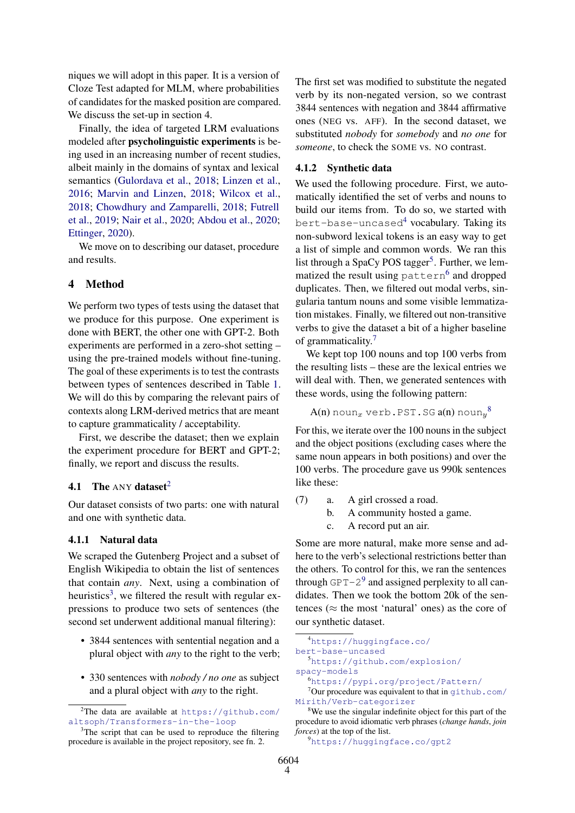niques we will adopt in this paper. It is a version of Cloze Test adapted for MLM, where probabilities of candidates for the masked position are compared. We discuss the set-up in section 4.

Finally, the idea of targeted LRM evaluations modeled after psycholinguistic experiments is being used in an increasing number of recent studies, albeit mainly in the domains of syntax and lexical semantics [\(Gulordava et al.,](#page-8-17) [2018;](#page-8-17) [Linzen et al.,](#page-8-18) [2016;](#page-8-18) [Marvin and Linzen,](#page-9-4) [2018;](#page-9-4) [Wilcox et al.,](#page-9-9) [2018;](#page-9-9) [Chowdhury and Zamparelli,](#page-8-19) [2018;](#page-8-19) [Futrell](#page-8-20) [et al.,](#page-8-20) [2019;](#page-8-20) [Nair et al.,](#page-9-10) [2020;](#page-9-10) [Abdou et al.,](#page-8-21) [2020;](#page-8-21) [Ettinger,](#page-8-22) [2020\)](#page-8-22).

We move on to describing our dataset, procedure and results.

### 4 Method

We perform two types of tests using the dataset that we produce for this purpose. One experiment is done with BERT, the other one with GPT-2. Both experiments are performed in a zero-shot setting – using the pre-trained models without fine-tuning. The goal of these experiments is to test the contrasts between types of sentences described in Table [1.](#page-2-0) We will do this by comparing the relevant pairs of contexts along LRM-derived metrics that are meant to capture grammaticality / acceptability.

First, we describe the dataset; then we explain the experiment procedure for BERT and GPT-2; finally, we report and discuss the results.

# 4.1 The ANY dataset<sup>[2](#page-3-0)</sup>

Our dataset consists of two parts: one with natural and one with synthetic data.

## 4.1.1 Natural data

We scraped the Gutenberg Project and a subset of English Wikipedia to obtain the list of sentences that contain *any*. Next, using a combination of heuristics<sup>[3](#page-3-1)</sup>, we filtered the result with regular expressions to produce two sets of sentences (the second set underwent additional manual filtering):

- 3844 sentences with sentential negation and a plural object with *any* to the right to the verb;
- 330 sentences with *nobody / no one* as subject and a plural object with *any* to the right.

The first set was modified to substitute the negated verb by its non-negated version, so we contrast 3844 sentences with negation and 3844 affirmative ones (NEG vs. AFF). In the second dataset, we substituted *nobody* for *somebody* and *no one* for *someone*, to check the SOME vs. NO contrast.

# 4.1.2 Synthetic data

We used the following procedure. First, we automatically identified the set of verbs and nouns to build our items from. To do so, we started with bert-base-uncased<sup>[4](#page-3-2)</sup> vocabulary. Taking its non-subword lexical tokens is an easy way to get a list of simple and common words. We ran this list through a SpaCy POS tagger<sup>[5](#page-3-3)</sup>. Further, we lem-matized the result using pattern<sup>[6](#page-3-4)</sup> and dropped duplicates. Then, we filtered out modal verbs, singularia tantum nouns and some visible lemmatization mistakes. Finally, we filtered out non-transitive verbs to give the dataset a bit of a higher baseline of grammaticality.[7](#page-3-5)

We kept top 100 nouns and top 100 verbs from the resulting lists – these are the lexical entries we will deal with. Then, we generated sentences with these words, using the following pattern:

 $\mathrm{A}(\mathrm{n})$  noun $_{x}$  verb.PST.SG  $\mathrm{a}(\mathrm{n})$  noun $_{y}{}^{8}$  $_{y}{}^{8}$  $_{y}{}^{8}$ 

For this, we iterate over the 100 nouns in the subject and the object positions (excluding cases where the same noun appears in both positions) and over the 100 verbs. The procedure gave us 990k sentences like these:

- (7) a. A girl crossed a road.
	- b. A community hosted a game.
	- c. A record put an air.

Some are more natural, make more sense and adhere to the verb's selectional restrictions better than the others. To control for this, we ran the sentences through  $GPT-2^9$  $GPT-2^9$  and assigned perplexity to all candidates. Then we took the bottom 20k of the sentences ( $\approx$  the most 'natural' ones) as the core of our synthetic dataset.

```
4https://huggingface.co/
bert-base-uncased
```
<span id="page-3-3"></span><sup>5</sup>[https://github.com/explosion/](https://github.com/explosion/spacy-models) [spacy-models](https://github.com/explosion/spacy-models)

```
9https://huggingface.co/gpt2
```
<span id="page-3-0"></span><sup>&</sup>lt;sup>2</sup>The data are available at  $https://github.com/$ [altsoph/Transformers-in-the-loop](https://github.com/altsoph/Transformers-in-the-loop)

<span id="page-3-1"></span><sup>&</sup>lt;sup>3</sup>The script that can be used to reproduce the filtering procedure is available in the project repository, see fn. 2.

<span id="page-3-5"></span><span id="page-3-4"></span><sup>6</sup><https://pypi.org/project/Pattern/>

 $7$ Our procedure was equivalent to that in  $q$ ithub.com/ [Mirith/Verb-categorizer](github.com/Mirith/Verb-categorizer)

<span id="page-3-6"></span><sup>&</sup>lt;sup>8</sup>We use the singular indefinite object for this part of the procedure to avoid idiomatic verb phrases (*change hands*, *join forces*) at the top of the list.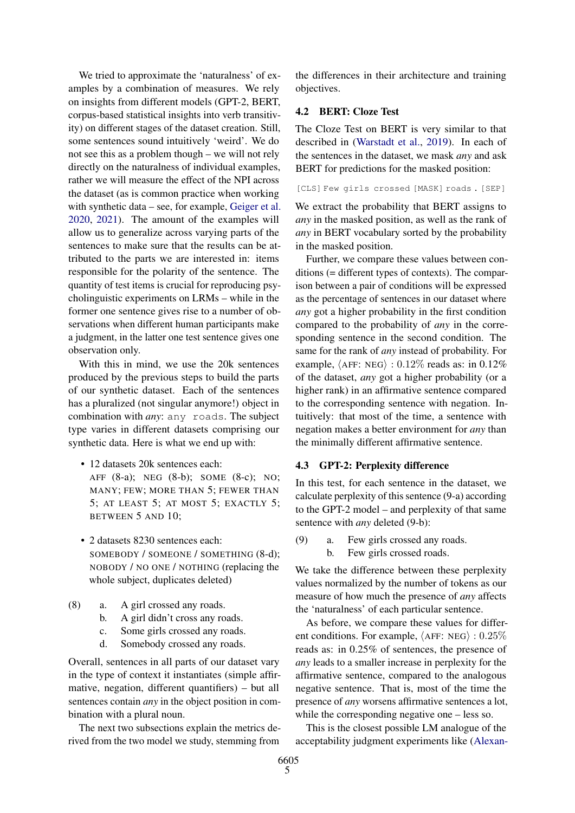We tried to approximate the 'naturalness' of examples by a combination of measures. We rely on insights from different models (GPT-2, BERT, corpus-based statistical insights into verb transitivity) on different stages of the dataset creation. Still, some sentences sound intuitively 'weird'. We do not see this as a problem though – we will not rely directly on the naturalness of individual examples, rather we will measure the effect of the NPI across the dataset (as is common practice when working with synthetic data – see, for example, [Geiger et al.](#page-8-16) [2020,](#page-8-16) [2021\)](#page-8-23). The amount of the examples will allow us to generalize across varying parts of the sentences to make sure that the results can be attributed to the parts we are interested in: items responsible for the polarity of the sentence. The quantity of test items is crucial for reproducing psycholinguistic experiments on LRMs – while in the former one sentence gives rise to a number of observations when different human participants make a judgment, in the latter one test sentence gives one observation only.

With this in mind, we use the 20k sentences produced by the previous steps to build the parts of our synthetic dataset. Each of the sentences has a pluralized (not singular anymore!) object in combination with *any*: any roads. The subject type varies in different datasets comprising our synthetic data. Here is what we end up with:

• 12 datasets 20k sentences each: AFF (8-a); NEG (8-b); SOME (8-c); NO; MANY; FEW; MORE THAN 5; FEWER THAN 5; AT LEAST 5; AT MOST 5; EXACTLY 5; BETWEEN 5 AND 10;

- 2 datasets 8230 sentences each: SOMEBODY / SOMEONE / SOMETHING (8-d); NOBODY / NO ONE / NOTHING (replacing the whole subject, duplicates deleted)
- (8) a. A girl crossed any roads.
	- b. A girl didn't cross any roads.
	- c. Some girls crossed any roads.
	- d. Somebody crossed any roads.

Overall, sentences in all parts of our dataset vary in the type of context it instantiates (simple affirmative, negation, different quantifiers) – but all sentences contain *any* in the object position in combination with a plural noun.

The next two subsections explain the metrics derived from the two model we study, stemming from

the differences in their architecture and training objectives.

# 4.2 BERT: Cloze Test

The Cloze Test on BERT is very similar to that described in [\(Warstadt et al.,](#page-9-1) [2019\)](#page-9-1). In each of the sentences in the dataset, we mask *any* and ask BERT for predictions for the masked position:

[CLS] Few girls crossed [MASK] roads . [SEP]

We extract the probability that BERT assigns to *any* in the masked position, as well as the rank of *any* in BERT vocabulary sorted by the probability in the masked position.

Further, we compare these values between conditions (= different types of contexts). The comparison between a pair of conditions will be expressed as the percentage of sentences in our dataset where *any* got a higher probability in the first condition compared to the probability of *any* in the corresponding sentence in the second condition. The same for the rank of *any* instead of probability. For example,  $\langle AFF: NEG \rangle : 0.12\%$  reads as: in 0.12% of the dataset, *any* got a higher probability (or a higher rank) in an affirmative sentence compared to the corresponding sentence with negation. Intuitively: that most of the time, a sentence with negation makes a better environment for *any* than the minimally different affirmative sentence.

#### 4.3 GPT-2: Perplexity difference

In this test, for each sentence in the dataset, we calculate perplexity of this sentence (9-a) according to the GPT-2 model – and perplexity of that same sentence with *any* deleted (9-b):

(9) a. Few girls crossed any roads.

b. Few girls crossed roads.

We take the difference between these perplexity values normalized by the number of tokens as our measure of how much the presence of *any* affects the 'naturalness' of each particular sentence.

As before, we compare these values for different conditions. For example,  $\langle AFF: NEG \rangle : 0.25\%$ reads as: in 0.25% of sentences, the presence of *any* leads to a smaller increase in perplexity for the affirmative sentence, compared to the analogous negative sentence. That is, most of the time the presence of *any* worsens affirmative sentences a lot, while the corresponding negative one – less so.

This is the closest possible LM analogue of the acceptability judgment experiments like [\(Alexan-](#page-8-6)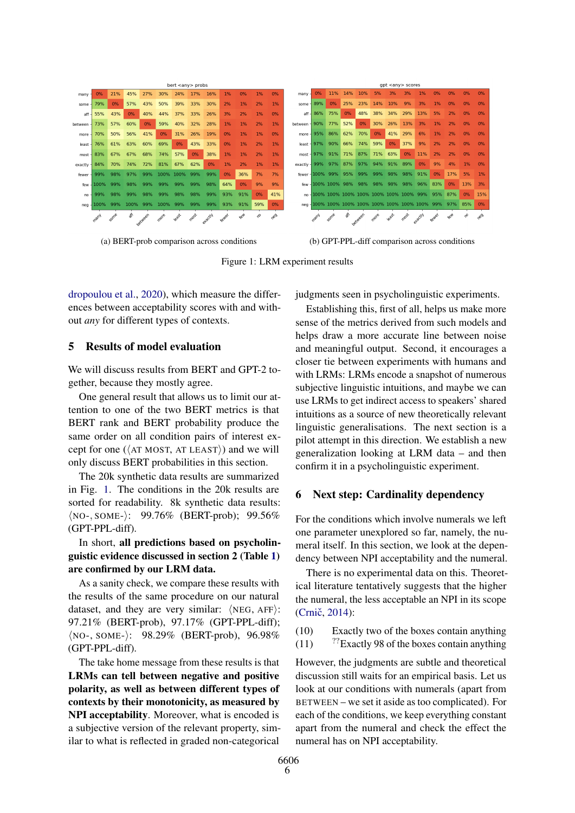<span id="page-5-0"></span>

| bert <any> probs</any> |      |      |          |     |      |       |      |         | gpt <any> scores</any> |     |     |       |           |                  |         |     |                                             |      |         |      |         |       |     |     |     |
|------------------------|------|------|----------|-----|------|-------|------|---------|------------------------|-----|-----|-------|-----------|------------------|---------|-----|---------------------------------------------|------|---------|------|---------|-------|-----|-----|-----|
| many                   | 0%   | 21%  | 45%      | 27% | 30%  | 24%   | 17%  | 16%     | $1\%$                  | 0%  | 1%  | 0%    | many -    | 0%               | 11%     |     | 14% 10%                                     | 5%   | 3%      | 3%   | 1%      | 0%    | 0%  | 0%  | 0%  |
| some                   | 79%  | 0%   | 57%      | 43% | 50%  | 39%   | 33%  | 30%     | 2%                     | 1%  | 2%  | 1%    | some -    | 89%              | 0%      | 25% | 23%                                         | 14%  | 10%     | 9%   | 3%      | 1%    | 0%  | 0%  | 0%  |
| aff                    | 55%  | 43%  | 0%       | 40% | 44%  | 37%   | 33%  | 26%     | 3%                     | 2%  | 1%  | 0%    | aff.      | 86%              | 75%     | 0%  | 48%                                         | 38%  | 34%     | 29%  | 13%     | 5%    | 2%  | 0%  | 0%  |
| between                | 73%  | 57%  | 60%      | 0%  | 59%  | 40%   | 32%  | 28%     | 1%                     | 1%  | 2%  | $1\%$ | between - | 90%              | 77%     | 52% | 0%                                          | 30%  | 26%     | 13%  | 3%      | 1%    | 2%  | 0%  | 0%  |
| more                   | 70%  | 50%  | 56%      | 41% | 0%   | 31%   | 26%  | 19%     | 0%                     | 1%  | 1%  | 0%    | more -    | 95%              | 86%     | 62% | 70%                                         | 0%   | 41%     | 29%  | 6%      | 1%    | 2%  | 0%  | 0%  |
| least                  | 76%  | 61%  | 63%      | 60% | 69%  | 0%    | 43%  | 33%     | 0%                     | 1%  | 2%  | 1%    |           | least $-97%$     | 90%     | 66% | 74%                                         | 59%  | 0%      | 37%  | 9%      | 2%    | 2%  | 0%  | 0%  |
| most                   | 83%  | 67%  | 67%      | 68% | 74%  | 57%   | 0%   | 38%     | 1%                     | 1%  | 2%  | 1%    |           | $most - 97%$     | 91%     |     | 71% 87%                                     | 71%  | 63%     | 0%   | 11%     | 2%    | 2%  | 0%  | 0%  |
| exactly                | 84%  | 70%  | 74%      | 72% | 81%  | 67%   | 62%  | 0%      | 1%                     | 2%  | 1%  | 1%    | exactly - | 99%              | 97% 87% |     | 97%                                         | 94%  | 91% 89% |      | 0%      | 9%    | 4%  | 1%  | 0%  |
| fewer                  | 99%  | 98%  | 97%      | 99% | 100% | 100%  | 99%  | 99%     | 0%                     | 36% | 7%  | 7%    |           | fewer - 100% 99% |         | 95% | 99%                                         | 99%  | 98%     | 98%  | 91%     | 0%    | 17% | 5%  | 1%  |
| few                    | 100% | 99%  | 98%      | 99% | 99%  | 99%   | 99%  | 98%     | 64%                    | 0%  | 9%  | 9%    |           |                  |         |     | few - 100% 100% 98% 98% 98%                 |      | 98% 98% |      | 96%     | 83%   | 0%  | 13% | 3%  |
| no                     | 99%  | 98%  | 99%      | 98% | 99%  | 98%   | 98%  | 99%     | 93%                    | 91% | 0%  | 41%   |           |                  |         |     | mo - 100% 100% 100% 100% 100% 100% 100% 99% |      |         |      |         | 95%   | 87% | 0%  | 15% |
| $nea -$                | 100% | 99%  | 100% 99% |     | 100% | 99%   | 99%  | 99%     | 93%                    | 91% | 59% | 0%    |           |                  |         |     |                                             |      |         |      |         |       |     | 85% | 0%  |
|                        | many | Some | ☆        |     | more | least | most | etactly | <b>Keylet</b>          |     | ę,  | RB    |           | many             | Some    | ☆   |                                             | more | Rast    | most | etacchy | Fewer | Key |     |     |
|                        |      |      |          |     |      |       |      |         |                        |     |     |       |           |                  |         |     |                                             |      |         |      |         |       |     |     |     |

(a) BERT-prob comparison across conditions (b) GPT-PPL-diff comparison across conditions

Figure 1: LRM experiment results

[dropoulou et al.,](#page-8-6) [2020\)](#page-8-6), which measure the differences between acceptability scores with and without *any* for different types of contexts.

# 5 Results of model evaluation

We will discuss results from BERT and GPT-2 together, because they mostly agree.

One general result that allows us to limit our attention to one of the two BERT metrics is that BERT rank and BERT probability produce the same order on all condition pairs of interest except for one ( $\langle$ AT MOST, AT LEAST $\rangle$ ) and we will only discuss BERT probabilities in this section.

The 20k synthetic data results are summarized in Fig. [1.](#page-5-0) The conditions in the 20k results are sorted for readability. 8k synthetic data results: ⟨NO-, SOME-⟩: 99.76% (BERT-prob); 99.56% (GPT-PPL-diff).

In short, all predictions based on psycholinguistic evidence discussed in section 2 (Table [1\)](#page-2-0) are confirmed by our LRM data.

As a sanity check, we compare these results with the results of the same procedure on our natural dataset, and they are very similar: ⟨NEG, AFF⟩: 97.21% (BERT-prob), 97.17% (GPT-PPL-diff); ⟨NO-, SOME-⟩: 98.29% (BERT-prob), 96.98% (GPT-PPL-diff).

The take home message from these results is that LRMs can tell between negative and positive polarity, as well as between different types of contexts by their monotonicity, as measured by NPI acceptability. Moreover, what is encoded is a subjective version of the relevant property, similar to what is reflected in graded non-categorical

judgments seen in psycholinguistic experiments.

Establishing this, first of all, helps us make more sense of the metrics derived from such models and helps draw a more accurate line between noise and meaningful output. Second, it encourages a closer tie between experiments with humans and with LRMs: LRMs encode a snapshot of numerous subjective linguistic intuitions, and maybe we can use LRMs to get indirect access to speakers' shared intuitions as a source of new theoretically relevant linguistic generalisations. The next section is a pilot attempt in this direction. We establish a new generalization looking at LRM data – and then confirm it in a psycholinguistic experiment.

# 6 Next step: Cardinality dependency

For the conditions which involve numerals we left one parameter unexplored so far, namely, the numeral itself. In this section, we look at the dependency between NPI acceptability and the numeral.

There is no experimental data on this. Theoretical literature tentatively suggests that the higher the numeral, the less acceptable an NPI in its scope (Crnič, [2014\)](#page-8-5):

(10) Exactly two of the boxes contain anything

(11)  $\frac{?}{?}$  Exactly 98 of the boxes contain anything

However, the judgments are subtle and theoretical discussion still waits for an empirical basis. Let us look at our conditions with numerals (apart from BETWEEN – we set it aside as too complicated). For each of the conditions, we keep everything constant apart from the numeral and check the effect the numeral has on NPI acceptability.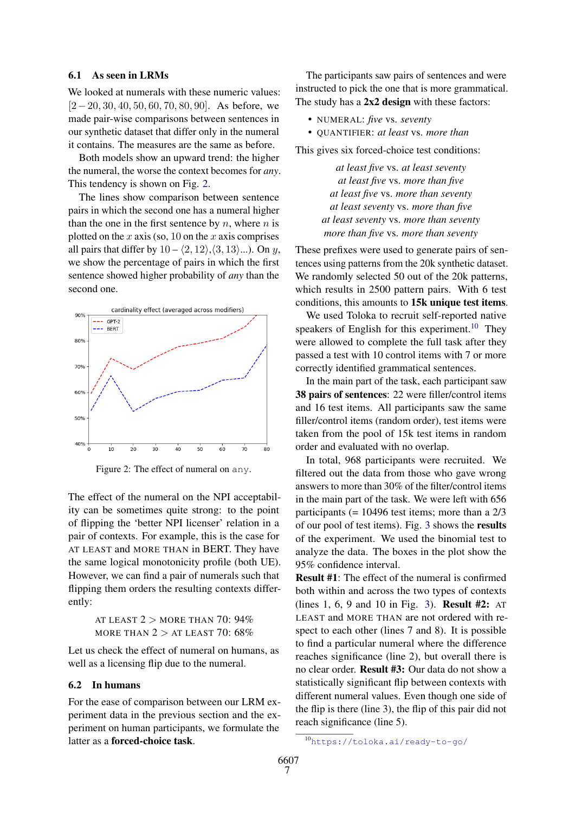#### 6.1 As seen in LRMs

We looked at numerals with these numeric values: [2−20, 30, 40, 50, 60, 70, 80, 90]. As before, we made pair-wise comparisons between sentences in our synthetic dataset that differ only in the numeral it contains. The measures are the same as before.

Both models show an upward trend: the higher the numeral, the worse the context becomes for *any*. This tendency is shown on Fig. [2.](#page-6-0)

The lines show comparison between sentence pairs in which the second one has a numeral higher than the one in the first sentence by  $n$ , where  $n$  is plotted on the  $x$  axis (so, 10 on the  $x$  axis comprises all pairs that differ by  $10 - \langle 2, 12 \rangle, \langle 3, 13 \rangle$ ...). On y, we show the percentage of pairs in which the first sentence showed higher probability of *any* than the second one.

<span id="page-6-0"></span>

Figure 2: The effect of numeral on any.

The effect of the numeral on the NPI acceptability can be sometimes quite strong: to the point of flipping the 'better NPI licenser' relation in a pair of contexts. For example, this is the case for AT LEAST and MORE THAN in BERT. They have the same logical monotonicity profile (both UE). However, we can find a pair of numerals such that flipping them orders the resulting contexts differently:

> AT LEAST  $2 >$  MORE THAN 70: 94% MORE THAN  $2 >$  AT LEAST 70: 68%

Let us check the effect of numeral on humans, as well as a licensing flip due to the numeral.

#### 6.2 In humans

For the ease of comparison between our LRM experiment data in the previous section and the experiment on human participants, we formulate the latter as a forced-choice task.

The participants saw pairs of sentences and were instructed to pick the one that is more grammatical. The study has a 2x2 design with these factors:

- NUMERAL: *five* vs. *seventy*
- QUANTIFIER: *at least* vs. *more than*

This gives six forced-choice test conditions:

*at least five* vs. *at least seventy at least five* vs. *more than five at least five* vs. *more than seventy at least seventy* vs. *more than five at least seventy* vs. *more than seventy more than five* vs. *more than seventy*

These prefixes were used to generate pairs of sentences using patterns from the 20k synthetic dataset. We randomly selected 50 out of the 20k patterns, which results in 2500 pattern pairs. With 6 test conditions, this amounts to 15k unique test items.

We used Toloka to recruit self-reported native speakers of English for this experiment.<sup>[10](#page-6-1)</sup> They were allowed to complete the full task after they passed a test with 10 control items with 7 or more correctly identified grammatical sentences.

In the main part of the task, each participant saw 38 pairs of sentences: 22 were filler/control items and 16 test items. All participants saw the same filler/control items (random order), test items were taken from the pool of 15k test items in random order and evaluated with no overlap.

In total, 968 participants were recruited. We filtered out the data from those who gave wrong answers to more than 30% of the filter/control items in the main part of the task. We were left with 656 participants (= 10496 test items; more than a 2/3 of our pool of test items). Fig. [3](#page-7-0) shows the results of the experiment. We used the binomial test to analyze the data. The boxes in the plot show the 95% confidence interval.

Result #1: The effect of the numeral is confirmed both within and across the two types of contexts (lines 1, 6, 9 and 10 in Fig. [3\)](#page-7-0). Result #2: AT LEAST and MORE THAN are not ordered with respect to each other (lines 7 and 8). It is possible to find a particular numeral where the difference reaches significance (line 2), but overall there is no clear order. Result #3: Our data do not show a statistically significant flip between contexts with different numeral values. Even though one side of the flip is there (line 3), the flip of this pair did not reach significance (line 5).

<span id="page-6-1"></span><sup>10</sup><https://toloka.ai/ready-to-go/>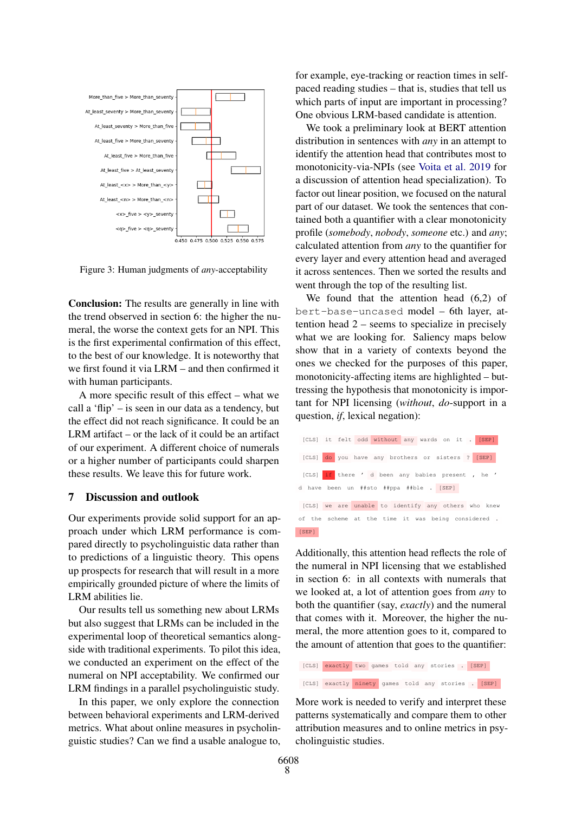<span id="page-7-0"></span>

Figure 3: Human judgments of *any*-acceptability

Conclusion: The results are generally in line with the trend observed in section 6: the higher the numeral, the worse the context gets for an NPI. This is the first experimental confirmation of this effect, to the best of our knowledge. It is noteworthy that we first found it via LRM – and then confirmed it with human participants.

A more specific result of this effect – what we call a 'flip' – is seen in our data as a tendency, but the effect did not reach significance. It could be an LRM artifact – or the lack of it could be an artifact of our experiment. A different choice of numerals or a higher number of participants could sharpen these results. We leave this for future work.

### 7 Discussion and outlook

Our experiments provide solid support for an approach under which LRM performance is compared directly to psycholinguistic data rather than to predictions of a linguistic theory. This opens up prospects for research that will result in a more empirically grounded picture of where the limits of LRM abilities lie.

Our results tell us something new about LRMs but also suggest that LRMs can be included in the experimental loop of theoretical semantics alongside with traditional experiments. To pilot this idea, we conducted an experiment on the effect of the numeral on NPI acceptability. We confirmed our LRM findings in a parallel psycholinguistic study.

In this paper, we only explore the connection between behavioral experiments and LRM-derived metrics. What about online measures in psycholinguistic studies? Can we find a usable analogue to, for example, eye-tracking or reaction times in selfpaced reading studies – that is, studies that tell us which parts of input are important in processing? One obvious LRM-based candidate is attention.

We took a preliminary look at BERT attention distribution in sentences with *any* in an attempt to identify the attention head that contributes most to monotonicity-via-NPIs (see [Voita et al.](#page-9-11) [2019](#page-9-11) for a discussion of attention head specialization). To factor out linear position, we focused on the natural part of our dataset. We took the sentences that contained both a quantifier with a clear monotonicity profile (*somebody*, *nobody*, *someone* etc.) and *any*; calculated attention from *any* to the quantifier for every layer and every attention head and averaged it across sentences. Then we sorted the results and went through the top of the resulting list.

We found that the attention head (6,2) of bert-base-uncased model – 6th layer, attention head 2 – seems to specialize in precisely what we are looking for. Saliency maps below show that in a variety of contexts beyond the ones we checked for the purposes of this paper, monotonicity-affecting items are highlighted – buttressing the hypothesis that monotonicity is important for NPI licensing (*without*, *do*-support in a question, *if*, lexical negation):



Additionally, this attention head reflects the role of the numeral in NPI licensing that we established in section 6: in all contexts with numerals that we looked at, a lot of attention goes from *any* to both the quantifier (say, *exactly*) and the numeral that comes with it. Moreover, the higher the numeral, the more attention goes to it, compared to the amount of attention that goes to the quantifier:

[CLS] exactly two games told any stories . [SEP] [CLS] exactly ninety games told any stories . [SEP]

More work is needed to verify and interpret these patterns systematically and compare them to other attribution measures and to online metrics in psycholinguistic studies.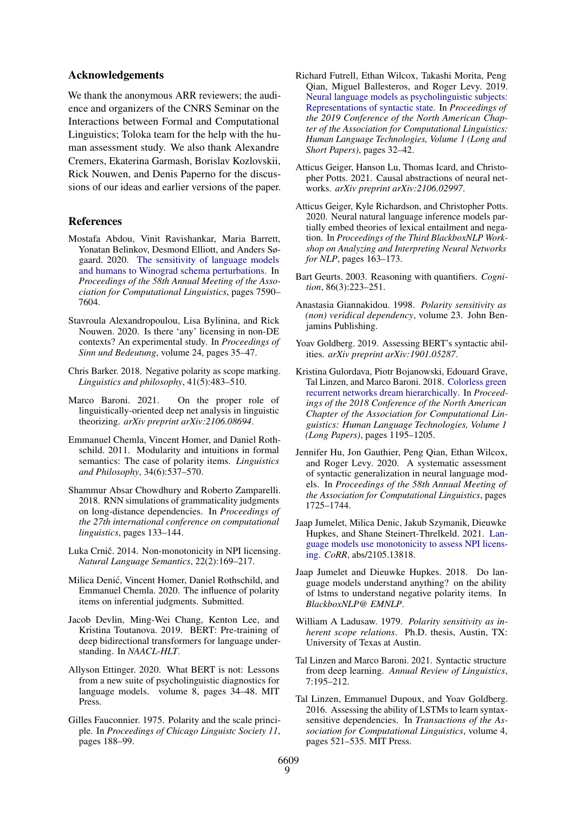# Acknowledgements

We thank the anonymous ARR reviewers; the audience and organizers of the CNRS Seminar on the Interactions between Formal and Computational Linguistics; Toloka team for the help with the human assessment study. We also thank Alexandre Cremers, Ekaterina Garmash, Borislav Kozlovskii, Rick Nouwen, and Denis Paperno for the discussions of our ideas and earlier versions of the paper.

# References

- <span id="page-8-21"></span>Mostafa Abdou, Vinit Ravishankar, Maria Barrett, Yonatan Belinkov, Desmond Elliott, and Anders Søgaard. 2020. [The sensitivity of language models](https://doi.org/10.18653/v1/2020.acl-main.679) [and humans to Winograd schema perturbations.](https://doi.org/10.18653/v1/2020.acl-main.679) In *Proceedings of the 58th Annual Meeting of the Association for Computational Linguistics*, pages 7590– 7604.
- <span id="page-8-6"></span>Stavroula Alexandropoulou, Lisa Bylinina, and Rick Nouwen. 2020. Is there 'any' licensing in non-DE contexts? An experimental study. In *Proceedings of Sinn und Bedeutung*, volume 24, pages 35–47.
- <span id="page-8-10"></span>Chris Barker. 2018. Negative polarity as scope marking. *Linguistics and philosophy*, 41(5):483–510.
- <span id="page-8-2"></span>Marco Baroni. 2021. On the proper role of linguistically-oriented deep net analysis in linguistic theorizing. *arXiv preprint arXiv:2106.08694*.
- <span id="page-8-11"></span>Emmanuel Chemla, Vincent Homer, and Daniel Rothschild. 2011. Modularity and intuitions in formal semantics: The case of polarity items. *Linguistics and Philosophy*, 34(6):537–570.
- <span id="page-8-19"></span>Shammur Absar Chowdhury and Roberto Zamparelli. 2018. RNN simulations of grammaticality judgments on long-distance dependencies. In *Proceedings of the 27th international conference on computational linguistics*, pages 133–144.
- <span id="page-8-5"></span>Luka Crnič. 2014. Non-monotonicity in NPI licensing. *Natural Language Semantics*, 22(2):169–217.
- <span id="page-8-12"></span>Milica Denic, Vincent Homer, Daniel Rothschild, and ´ Emmanuel Chemla. 2020. The influence of polarity items on inferential judgments. Submitted.
- <span id="page-8-0"></span>Jacob Devlin, Ming-Wei Chang, Kenton Lee, and Kristina Toutanova. 2019. BERT: Pre-training of deep bidirectional transformers for language understanding. In *NAACL-HLT*.
- <span id="page-8-22"></span>Allyson Ettinger. 2020. What BERT is not: Lessons from a new suite of psycholinguistic diagnostics for language models. volume 8, pages 34–48. MIT Press.
- <span id="page-8-7"></span>Gilles Fauconnier. 1975. Polarity and the scale principle. In *Proceedings of Chicago Linguistc Society 11*, pages 188–99.
- <span id="page-8-20"></span>Richard Futrell, Ethan Wilcox, Takashi Morita, Peng Qian, Miguel Ballesteros, and Roger Levy. 2019. [Neural language models as psycholinguistic subjects:](https://doi.org/10.18653/v1/N19-1004) [Representations of syntactic state.](https://doi.org/10.18653/v1/N19-1004) In *Proceedings of the 2019 Conference of the North American Chapter of the Association for Computational Linguistics: Human Language Technologies, Volume 1 (Long and Short Papers)*, pages 32–42.
- <span id="page-8-23"></span>Atticus Geiger, Hanson Lu, Thomas Icard, and Christopher Potts. 2021. Causal abstractions of neural networks. *arXiv preprint arXiv:2106.02997*.
- <span id="page-8-16"></span>Atticus Geiger, Kyle Richardson, and Christopher Potts. 2020. Neural natural language inference models partially embed theories of lexical entailment and negation. In *Proceedings of the Third BlackboxNLP Workshop on Analyzing and Interpreting Neural Networks for NLP*, pages 163–173.
- <span id="page-8-1"></span>Bart Geurts. 2003. Reasoning with quantifiers. *Cognition*, 86(3):223–251.
- <span id="page-8-9"></span>Anastasia Giannakidou. 1998. *Polarity sensitivity as (non) veridical dependency*, volume 23. John Benjamins Publishing.
- <span id="page-8-4"></span>Yoav Goldberg. 2019. Assessing BERT's syntactic abilities. *arXiv preprint arXiv:1901.05287*.
- <span id="page-8-17"></span>Kristina Gulordava, Piotr Bojanowski, Edouard Grave, Tal Linzen, and Marco Baroni. 2018. [Colorless green](https://doi.org/10.18653/v1/N18-1108) [recurrent networks dream hierarchically.](https://doi.org/10.18653/v1/N18-1108) In *Proceedings of the 2018 Conference of the North American Chapter of the Association for Computational Linguistics: Human Language Technologies, Volume 1 (Long Papers)*, pages 1195–1205.
- <span id="page-8-13"></span>Jennifer Hu, Jon Gauthier, Peng Qian, Ethan Wilcox, and Roger Levy. 2020. A systematic assessment of syntactic generalization in neural language models. In *Proceedings of the 58th Annual Meeting of the Association for Computational Linguistics*, pages 1725–1744.
- <span id="page-8-15"></span>Jaap Jumelet, Milica Denic, Jakub Szymanik, Dieuwke Hupkes, and Shane Steinert-Threlkeld. 2021. [Lan](http://arxiv.org/abs/2105.13818)[guage models use monotonicity to assess NPI licens](http://arxiv.org/abs/2105.13818)[ing.](http://arxiv.org/abs/2105.13818) *CoRR*, abs/2105.13818.
- <span id="page-8-14"></span>Jaap Jumelet and Dieuwke Hupkes. 2018. Do language models understand anything? on the ability of lstms to understand negative polarity items. In *BlackboxNLP@ EMNLP*.
- <span id="page-8-8"></span>William A Ladusaw. 1979. *Polarity sensitivity as inherent scope relations*. Ph.D. thesis, Austin, TX: University of Texas at Austin.
- <span id="page-8-3"></span>Tal Linzen and Marco Baroni. 2021. Syntactic structure from deep learning. *Annual Review of Linguistics*, 7:195–212.
- <span id="page-8-18"></span>Tal Linzen, Emmanuel Dupoux, and Yoav Goldberg. 2016. Assessing the ability of LSTMs to learn syntaxsensitive dependencies. In *Transactions of the Association for Computational Linguistics*, volume 4, pages 521–535. MIT Press.